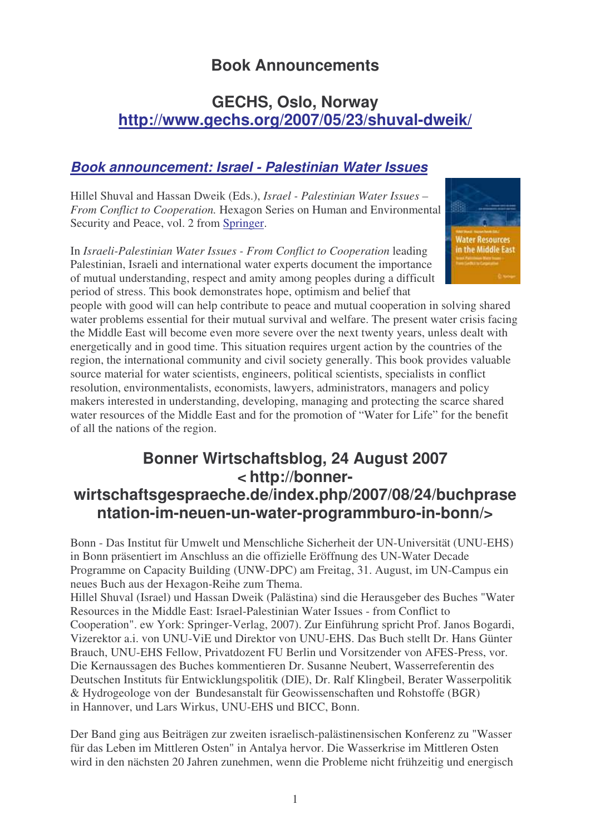# **Book Announcements**

# **GECHS, Oslo, Norway http://www.gechs.org/2007/05/23/shuval-dweik/**

### *Book announcement: Israel - Palestinian Water Issues*

Hillel Shuval and Hassan Dweik (Eds.), *Israel - Palestinian Water Issues – From Conflict to Cooperation.* Hexagon Series on Human and Environmental Security and Peace, vol. 2 from Springer.

In *Israeli-Palestinian Water Issues - From Conflict to Cooperation* leading Palestinian, Israeli and international water experts document the importance of mutual understanding, respect and amity among peoples during a difficult period of stress. This book demonstrates hope, optimism and belief that



people with good will can help contribute to peace and mutual cooperation in solving shared water problems essential for their mutual survival and welfare. The present water crisis facing the Middle East will become even more severe over the next twenty years, unless dealt with energetically and in good time. This situation requires urgent action by the countries of the region, the international community and civil society generally. This book provides valuable source material for water scientists, engineers, political scientists, specialists in conflict resolution, environmentalists, economists, lawyers, administrators, managers and policy makers interested in understanding, developing, managing and protecting the scarce shared water resources of the Middle East and for the promotion of "Water for Life" for the benefit of all the nations of the region.

# **Bonner Wirtschaftsblog, 24 August 2007 < http://bonnerwirtschaftsgespraeche.de/index.php/2007/08/24/buchprase**

# **ntation-im-neuen-un-water-programmburo-in-bonn/>**

Bonn - Das Institut für Umwelt und Menschliche Sicherheit der UN-Universität (UNU-EHS) in Bonn präsentiert im Anschluss an die offizielle Eröffnung des UN-Water Decade Programme on Capacity Building (UNW-DPC) am Freitag, 31. August, im UN-Campus ein neues Buch aus der Hexagon-Reihe zum Thema.

Hillel Shuval (Israel) und Hassan Dweik (Palästina) sind die Herausgeber des Buches "Water Resources in the Middle East: Israel-Palestinian Water Issues - from Conflict to Cooperation". ew York: Springer-Verlag, 2007). Zur Einführung spricht Prof. Janos Bogardi, Vizerektor a.i. von UNU-ViE und Direktor von UNU-EHS. Das Buch stellt Dr. Hans Günter Brauch, UNU-EHS Fellow, Privatdozent FU Berlin und Vorsitzender von AFES-Press, vor. Die Kernaussagen des Buches kommentieren Dr. Susanne Neubert, Wasserreferentin des Deutschen Instituts für Entwicklungspolitik (DIE), Dr. Ralf Klingbeil, Berater Wasserpolitik & Hydrogeologe von der Bundesanstalt für Geowissenschaften und Rohstoffe (BGR) in Hannover, und Lars Wirkus, UNU-EHS und BICC, Bonn.

Der Band ging aus Beiträgen zur zweiten israelisch-palästinensischen Konferenz zu "Wasser für das Leben im Mittleren Osten" in Antalya hervor. Die Wasserkrise im Mittleren Osten wird in den nächsten 20 Jahren zunehmen, wenn die Probleme nicht frühzeitig und energisch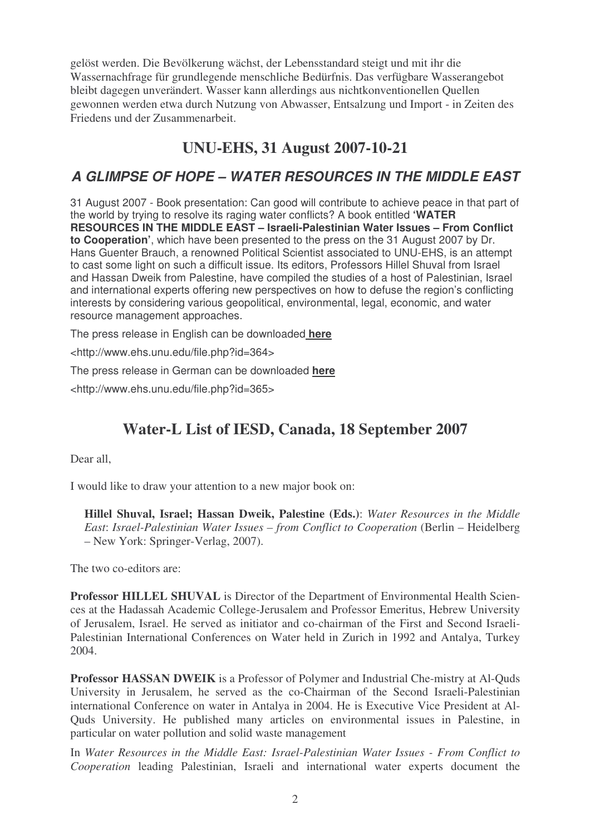gelöst werden. Die Bevölkerung wächst, der Lebensstandard steigt und mit ihr die Wassernachfrage für grundlegende menschliche Bedürfnis. Das verfügbare Wasserangebot bleibt dagegen unverändert. Wasser kann allerdings aus nichtkonventionellen Quellen gewonnen werden etwa durch Nutzung von Abwasser, Entsalzung und Import - in Zeiten des Friedens und der Zusammenarbeit.

# **UNU-EHS, 31 August 2007-10-21**

## *A GLIMPSE OF HOPE – WATER RESOURCES IN THE MIDDLE EAST*

31 August 2007 - Book presentation: Can good will contribute to achieve peace in that part of the world by trying to resolve its raging water conflicts? A book entitled **'WATER RESOURCES IN THE MIDDLE EAST – Israeli-Palestinian Water Issues – From Conflict to Cooperation'**, which have been presented to the press on the 31 August 2007 by Dr. Hans Guenter Brauch, a renowned Political Scientist associated to UNU-EHS, is an attempt to cast some light on such a difficult issue. Its editors, Professors Hillel Shuval from Israel and Hassan Dweik from Palestine, have compiled the studies of a host of Palestinian, Israel and international experts offering new perspectives on how to defuse the region's conflicting interests by considering various geopolitical, environmental, legal, economic, and water resource management approaches.

The press release in English can be downloaded **here**

<http://www.ehs.unu.edu/file.php?id=364>

The press release in German can be downloaded **here**

<http://www.ehs.unu.edu/file.php?id=365>

# **Water-L List of IESD, Canada, 18 September 2007**

Dear all,

I would like to draw your attention to a new major book on:

**Hillel Shuval, Israel; Hassan Dweik, Palestine (Eds.)**: *Water Resources in the Middle East*: *Israel-Palestinian Water Issues – from Conflict to Cooperation* (Berlin – Heidelberg – New York: Springer-Verlag, 2007).

The two co-editors are:

**Professor HILLEL SHUVAL** is Director of the Department of Environmental Health Sciences at the Hadassah Academic College-Jerusalem and Professor Emeritus, Hebrew University of Jerusalem, Israel. He served as initiator and co-chairman of the First and Second Israeli-Palestinian International Conferences on Water held in Zurich in 1992 and Antalya, Turkey 2004.

**Professor HASSAN DWEIK** is a Professor of Polymer and Industrial Che-mistry at Al-Quds University in Jerusalem, he served as the co-Chairman of the Second Israeli-Palestinian international Conference on water in Antalya in 2004. He is Executive Vice President at Al-Quds University. He published many articles on environmental issues in Palestine, in particular on water pollution and solid waste management

In *Water Resources in the Middle East: Israel-Palestinian Water Issues - From Conflict to Cooperation* leading Palestinian, Israeli and international water experts document the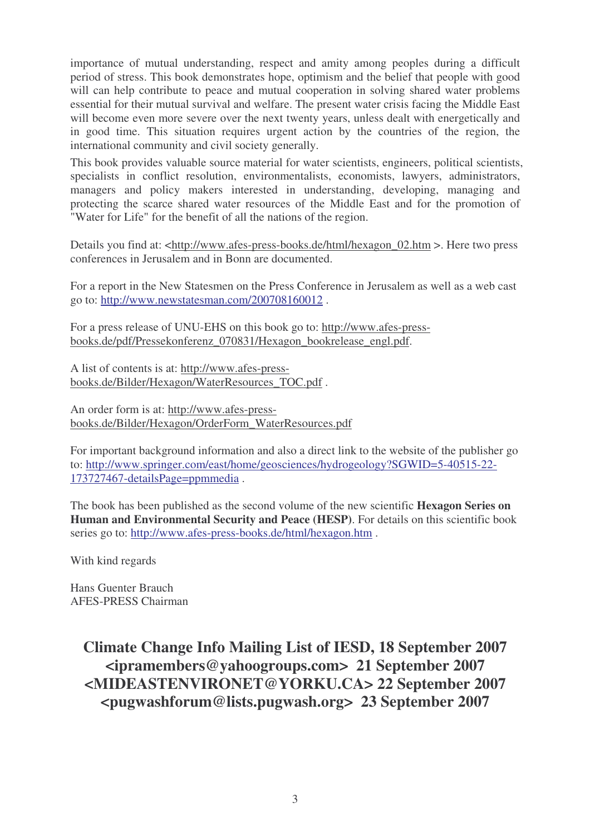importance of mutual understanding, respect and amity among peoples during a difficult period of stress. This book demonstrates hope, optimism and the belief that people with good will can help contribute to peace and mutual cooperation in solving shared water problems essential for their mutual survival and welfare. The present water crisis facing the Middle East will become even more severe over the next twenty years, unless dealt with energetically and in good time. This situation requires urgent action by the countries of the region, the international community and civil society generally.

This book provides valuable source material for water scientists, engineers, political scientists, specialists in conflict resolution, environmentalists, economists, lawyers, administrators, managers and policy makers interested in understanding, developing, managing and protecting the scarce shared water resources of the Middle East and for the promotion of "Water for Life" for the benefit of all the nations of the region.

Details you find at: <http://www.afes-press-books.de/html/hexagon\_02.htm >. Here two press conferences in Jerusalem and in Bonn are documented.

For a report in the New Statesmen on the Press Conference in Jerusalem as well as a web cast go to: http://www.newstatesman.com/200708160012 .

For a press release of UNU-EHS on this book go to: http://www.afes-pressbooks.de/pdf/Pressekonferenz\_070831/Hexagon\_bookrelease\_engl.pdf.

A list of contents is at: http://www.afes-pressbooks.de/Bilder/Hexagon/WaterResources\_TOC.pdf .

An order form is at: http://www.afes-pressbooks.de/Bilder/Hexagon/OrderForm\_WaterResources.pdf

For important background information and also a direct link to the website of the publisher go to: http://www.springer.com/east/home/geosciences/hydrogeology?SGWID=5-40515-22- 173727467-detailsPage=ppmmedia .

The book has been published as the second volume of the new scientific **Hexagon Series on Human and Environmental Security and Peace (HESP)**. For details on this scientific book series go to: http://www.afes-press-books.de/html/hexagon.htm .

With kind regards

Hans Guenter Brauch AFES-PRESS Chairman

> **Climate Change Info Mailing List of IESD, 18 September 2007 <ipramembers@yahoogroups.com> 21 September 2007 <MIDEASTENVIRONET@YORKU.CA> 22 September 2007 <pugwashforum@lists.pugwash.org> 23 September 2007**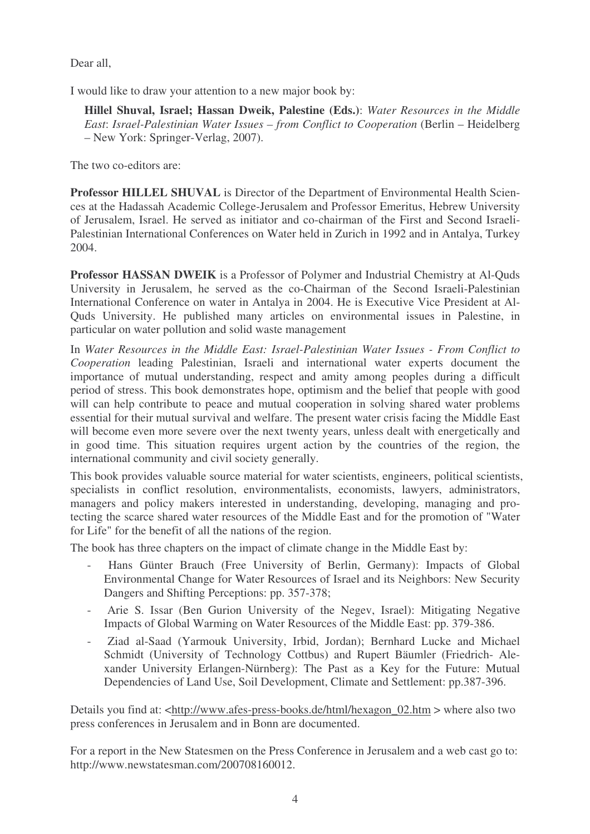Dear all,

I would like to draw your attention to a new major book by:

**Hillel Shuval, Israel; Hassan Dweik, Palestine (Eds.)**: *Water Resources in the Middle East*: *Israel-Palestinian Water Issues – from Conflict to Cooperation* (Berlin – Heidelberg – New York: Springer-Verlag, 2007).

The two co-editors are:

**Professor HILLEL SHUVAL** is Director of the Department of Environmental Health Sciences at the Hadassah Academic College-Jerusalem and Professor Emeritus, Hebrew University of Jerusalem, Israel. He served as initiator and co-chairman of the First and Second Israeli-Palestinian International Conferences on Water held in Zurich in 1992 and in Antalya, Turkey 2004.

**Professor HASSAN DWEIK** is a Professor of Polymer and Industrial Chemistry at Al-Quds University in Jerusalem, he served as the co-Chairman of the Second Israeli-Palestinian International Conference on water in Antalya in 2004. He is Executive Vice President at Al-Quds University. He published many articles on environmental issues in Palestine, in particular on water pollution and solid waste management

In *Water Resources in the Middle East: Israel-Palestinian Water Issues - From Conflict to Cooperation* leading Palestinian, Israeli and international water experts document the importance of mutual understanding, respect and amity among peoples during a difficult period of stress. This book demonstrates hope, optimism and the belief that people with good will can help contribute to peace and mutual cooperation in solving shared water problems essential for their mutual survival and welfare. The present water crisis facing the Middle East will become even more severe over the next twenty years, unless dealt with energetically and in good time. This situation requires urgent action by the countries of the region, the international community and civil society generally.

This book provides valuable source material for water scientists, engineers, political scientists, specialists in conflict resolution, environmentalists, economists, lawyers, administrators, managers and policy makers interested in understanding, developing, managing and protecting the scarce shared water resources of the Middle East and for the promotion of "Water for Life" for the benefit of all the nations of the region.

The book has three chapters on the impact of climate change in the Middle East by:

- Hans Günter Brauch (Free University of Berlin, Germany): Impacts of Global Environmental Change for Water Resources of Israel and its Neighbors: New Security Dangers and Shifting Perceptions: pp. 357-378;
- Arie S. Issar (Ben Gurion University of the Negev, Israel): Mitigating Negative Impacts of Global Warming on Water Resources of the Middle East: pp. 379-386.
- Ziad al-Saad (Yarmouk University, Irbid, Jordan); Bernhard Lucke and Michael Schmidt (University of Technology Cottbus) and Rupert Bäumler (Friedrich- Alexander University Erlangen-Nürnberg): The Past as a Key for the Future: Mutual Dependencies of Land Use, Soil Development, Climate and Settlement: pp.387-396.

Details you find at: <http://www.afes-press-books.de/html/hexagon 02.htm > where also two press conferences in Jerusalem and in Bonn are documented.

For a report in the New Statesmen on the Press Conference in Jerusalem and a web cast go to: http://www.newstatesman.com/200708160012.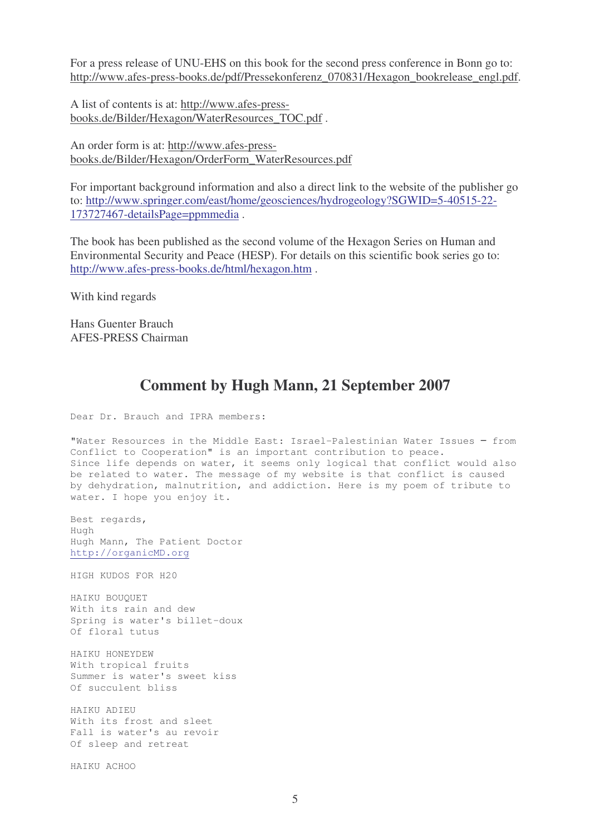For a press release of UNU-EHS on this book for the second press conference in Bonn go to: http://www.afes-press-books.de/pdf/Pressekonferenz\_070831/Hexagon\_bookrelease\_engl.pdf.

A list of contents is at: http://www.afes-pressbooks.de/Bilder/Hexagon/WaterResources\_TOC.pdf .

An order form is at: http://www.afes-pressbooks.de/Bilder/Hexagon/OrderForm\_WaterResources.pdf

For important background information and also a direct link to the website of the publisher go to: http://www.springer.com/east/home/geosciences/hydrogeology?SGWID=5-40515-22- 173727467-detailsPage=ppmmedia .

The book has been published as the second volume of the Hexagon Series on Human and Environmental Security and Peace (HESP). For details on this scientific book series go to: http://www.afes-press-books.de/html/hexagon.htm .

With kind regards

Hans Guenter Brauch AFES-PRESS Chairman

## **Comment by Hugh Mann, 21 September 2007**

Dear Dr. Brauch and IPRA members:

"Water Resources in the Middle East: Israel-Palestinian Water Issues from Conflict to Cooperation" is an important contribution to peace. Since life depends on water, it seems only logical that conflict would also be related to water. The message of my website is that conflict is caused by dehydration, malnutrition, and addiction. Here is my poem of tribute to water. I hope you enjoy it.

Best regards, Hugh Hugh Mann, The Patient Doctor http://organicMD.org

HIGH KUDOS FOR H20

HAIKU BOUQUET With its rain and dew Spring is water's billet-doux Of floral tutus

HAIKU HONEYDEW With tropical fruits Summer is water's sweet kiss Of succulent bliss

HAIKU ADIEU With its frost and sleet Fall is water's au revoir Of sleep and retreat

HAIKU ACHOO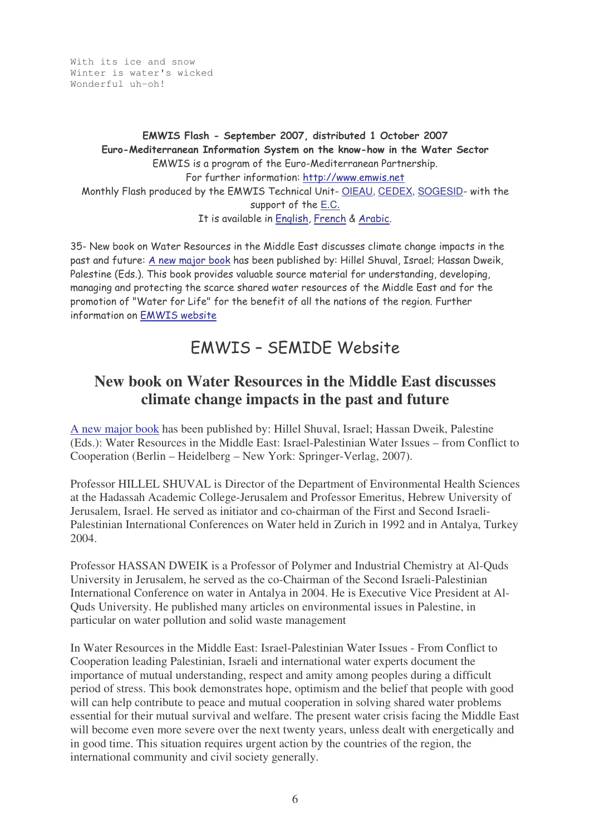With its ice and snow Winter is water's wicked Wonderful uh-oh!

#### EMWIS Flash - September 2007, distributed 1 October 2007 Euro-Mediterranean Information System on the know-how in the Water Sector EMWIS is a program of the Euro-Mediterranean Partnership. For further information: <u>http://www.emwis.net</u> Monthly Flash produced by the EMWIS Technical Unit- <u>OIEAU, CEDEX, SOGESID</u>- with the support of the <u>E.C.</u> It is available in English, French & Arabic.

35- New book on Water Resources in the Middle East discusses climate change impacts in the past and future: <u>A new major book</u> has been published by: Hillel Shuval, Israel; Hassan Dweik, Palestine (Eds.). This book provides valuable source material for understanding, developing, managing and protecting the scarce shared water resources of the Middle East and for the promotion of "Water for Life" for the benefit of all the nations of the region. Further information on <u>EMWIS website</u>

# EMWIS - SEMIDE Website

# **New book on Water Resources in the Middle East discusses climate change impacts in the past and future**

A new major book has been published by: Hillel Shuval, Israel; Hassan Dweik, Palestine (Eds.): Water Resources in the Middle East: Israel-Palestinian Water Issues – from Conflict to Cooperation (Berlin – Heidelberg – New York: Springer-Verlag, 2007).

Professor HILLEL SHUVAL is Director of the Department of Environmental Health Sciences at the Hadassah Academic College-Jerusalem and Professor Emeritus, Hebrew University of Jerusalem, Israel. He served as initiator and co-chairman of the First and Second Israeli-Palestinian International Conferences on Water held in Zurich in 1992 and in Antalya, Turkey 2004.

Professor HASSAN DWEIK is a Professor of Polymer and Industrial Chemistry at Al-Quds University in Jerusalem, he served as the co-Chairman of the Second Israeli-Palestinian International Conference on water in Antalya in 2004. He is Executive Vice President at Al-Quds University. He published many articles on environmental issues in Palestine, in particular on water pollution and solid waste management

In Water Resources in the Middle East: Israel-Palestinian Water Issues - From Conflict to Cooperation leading Palestinian, Israeli and international water experts document the importance of mutual understanding, respect and amity among peoples during a difficult period of stress. This book demonstrates hope, optimism and the belief that people with good will can help contribute to peace and mutual cooperation in solving shared water problems essential for their mutual survival and welfare. The present water crisis facing the Middle East will become even more severe over the next twenty years, unless dealt with energetically and in good time. This situation requires urgent action by the countries of the region, the international community and civil society generally.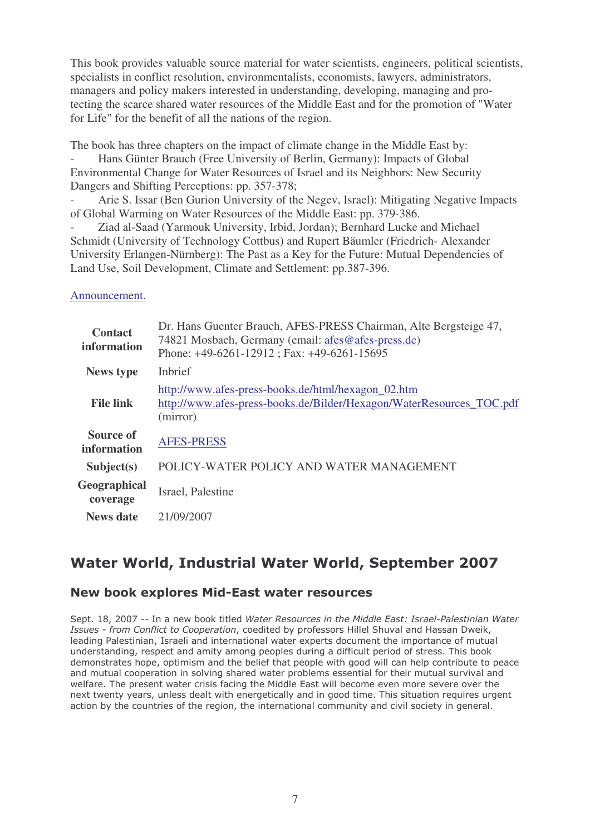This book provides valuable source material for water scientists, engineers, political scientists, specialists in conflict resolution, environmentalists, economists, lawyers, administrators, managers and policy makers interested in understanding, developing, managing and protecting the scarce shared water resources of the Middle East and for the promotion of "Water for Life" for the benefit of all the nations of the region.

The book has three chapters on the impact of climate change in the Middle East by: Hans Günter Brauch (Free University of Berlin, Germany): Impacts of Global Environmental Change for Water Resources of Israel and its Neighbors: New Security Dangers and Shifting Perceptions: pp. 357-378;

- Arie S. Issar (Ben Gurion University of the Negev, Israel): Mitigating Negative Impacts of Global Warming on Water Resources of the Middle East: pp. 379-386.

- Ziad al-Saad (Yarmouk University, Irbid, Jordan); Bernhard Lucke and Michael Schmidt (University of Technology Cottbus) and Rupert Bäumler (Friedrich- Alexander University Erlangen-Nürnberg): The Past as a Key for the Future: Mutual Dependencies of Land Use, Soil Development, Climate and Settlement: pp.387-396.

#### Announcement.

| <b>Contact</b><br>information   | Dr. Hans Guenter Brauch, AFES-PRESS Chairman, Alte Bergsteige 47,<br>74821 Mosbach, Germany (email: afes@afes-press.de)<br>Phone: +49-6261-12912; Fax: +49-6261-15695 |
|---------------------------------|-----------------------------------------------------------------------------------------------------------------------------------------------------------------------|
| <b>News type</b>                | Inbrief                                                                                                                                                               |
| <b>File link</b>                | http://www.afes-press-books.de/html/hexagon_02.htm<br>http://www.afes-press-books.de/Bilder/Hexagon/WaterResources_TOC.pdf<br>(mirror)                                |
| <b>Source of</b><br>information | <b>AFES-PRESS</b>                                                                                                                                                     |
| Subject(s)                      | POLICY-WATER POLICY AND WATER MANAGEMENT                                                                                                                              |
| Geographical<br>coverage        | Israel, Palestine                                                                                                                                                     |
| <b>News</b> date                | 21/09/2007                                                                                                                                                            |

# Water World, Industrial Water World, September 2007

#### New book explores Mid-East water resources

Sept. 18, 2007 -- In a new book titled Water Resources in the Middle East: Israel-Palestinian Water Issues - from Conflict to Cooperation, coedited by professors Hillel Shuval and Hassan Dweik, leading Palestinian, Israeli and international water experts document the importance of mutual understanding, respect and amity among peoples during a difficult period of stress. This book demonstrates hope, optimism and the belief that people with good will can help contribute to peace and mutual cooperation in solving shared water problems essential for their mutual survival and welfare. The present water crisis facing the Middle East will become even more severe over the next twenty years, unless dealt with energetically and in good time. This situation reguires urgent action by the countries of the region, the international community and civil society in general.